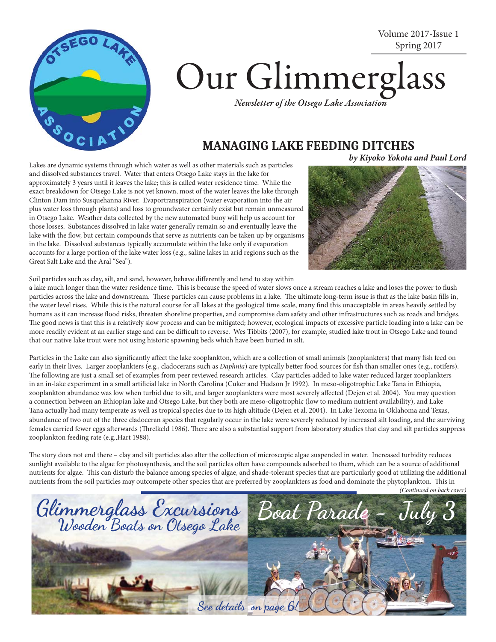

# Spring 2017 Our Glimmerglass *Newsletter of the Otsego Lake Association*

### **MANAGING LAKE FEEDING DITCHES**

**by Kiyoko Yokota and Paul Lord**

Volume 2017-Issue 1

Lakes are dynamic systems through which water as well as other materials such as particles and dissolved substances travel. Water that enters Otsego Lake stays in the lake for approximately 3 years until it leaves the lake; this is called water residence time. While the exact breakdown for Otsego Lake is not yet known, most of the water leaves the lake through Clinton Dam into Susquehanna River. Evaportranspiration (water evaporation into the air plus water loss through plants) and loss to groundwater certainly exist but remain unmeasured in Otsego Lake. Weather data collected by the new automated buoy will help us account for those losses. Substances dissolved in lake water generally remain so and eventually leave the lake with the flow, but certain compounds that serve as nutrients can be taken up by organisms in the lake. Dissolved substances typically accumulate within the lake only if evaporation accounts for a large portion of the lake water loss (e.g., saline lakes in arid regions such as the Great Salt Lake and the Aral "Sea").



Soil particles such as clay, silt, and sand, however, behave differently and tend to stay within

a lake much longer than the water residence time. This is because the speed of water slows once a stream reaches a lake and loses the power to flush particles across the lake and downstream. These particles can cause problems in a lake. The ultimate long-term issue is that as the lake basin fills in, the water level rises. While this is the natural course for all lakes at the geological time scale, many find this unacceptable in areas heavily settled by humans as it can increase flood risks, threaten shoreline properties, and compromise dam safety and other infrastructures such as roads and bridges. The good news is that this is a relatively slow process and can be mitigated; however, ecological impacts of excessive particle loading into a lake can be more readily evident at an earlier stage and can be difficult to reverse. Wes Tibbits (2007), for example, studied lake trout in Otsego Lake and found that our native lake trout were not using historic spawning beds which have been buried in silt.

Particles in the Lake can also significantly affect the lake zooplankton, which are a collection of small animals (zooplankters) that many fish feed on early in their lives. Larger zooplankters (e.g., cladocerans such as *Daphnia*) are typically better food sources for fish than smaller ones (e.g., rotifers). The following are just a small set of examples from peer reviewed research articles. Clay particles added to lake water reduced larger zooplankters in an in-lake experiment in a small artificial lake in North Carolina (Cuker and Hudson Jr 1992). In meso-oligotrophic Lake Tana in Ethiopia, zooplankton abundance was low when turbid due to silt, and larger zooplankters were most severely affected (Dejen et al. 2004). You may question a connection between an Ethiopian lake and Otsego Lake, but they both are meso-oligotrophic (low to medium nutrient availability), and Lake Tana actually had many temperate as well as tropical species due to its high altitude (Dejen et al. 2004). In Lake Texoma in Oklahoma and Texas, abundance of two out of the three cladoceran species that regularly occur in the lake were severely reduced by increased silt loading, and the surviving females carried fewer eggs afterwards (Threlkeld 1986). There are also a substantial support from laboratory studies that clay and silt particles suppress zooplankton feeding rate (e.g.,Hart 1988).

The story does not end there - clay and silt particles also alter the collection of microscopic algae suspended in water. Increased turbidity reduces sunlight available to the algae for photosynthesis, and the soil particles often have compounds adsorbed to them, which can be a source of additional nutrients for algae. This can disturb the balance among species of algae, and shade-tolerant species that are particularly good at utilizing the additional nutrients from the soil particles may outcompete other species that are preferred by zooplankters as food and dominate the phytoplankton. This in

*<sup>(</sup>Continued on back cover)*

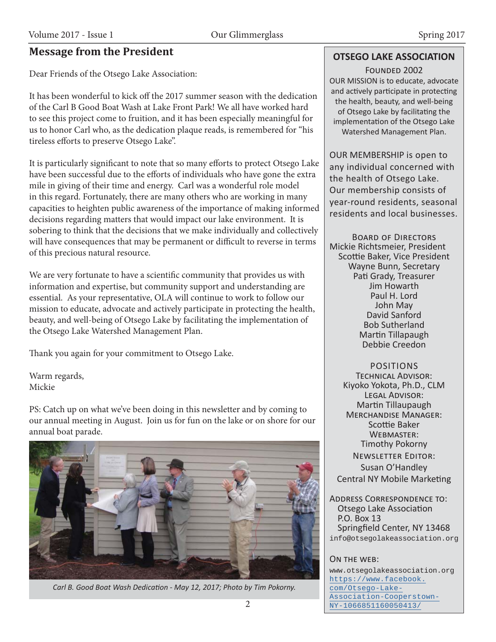#### **Message from the President**

Dear Friends of the Otsego Lake Association:

It has been wonderful to kick off the 2017 summer season with the dedication of the Carl B Good Boat Wash at Lake Front Park! We all have worked hard to see this project come to fruition, and it has been especially meaningful for us to honor Carl who, as the dedication plaque reads, is remembered for "his tireless efforts to preserve Otsego Lake".

It is particularly significant to note that so many efforts to protect Otsego Lake have been successful due to the efforts of individuals who have gone the extra mile in giving of their time and energy. Carl was a wonderful role model in this regard. Fortunately, there are many others who are working in many capacities to heighten public awareness of the importance of making informed decisions regarding matters that would impact our lake environment. It is sobering to think that the decisions that we make individually and collectively will have consequences that may be permanent or difficult to reverse in terms of this precious natural resource.

We are very fortunate to have a scientific community that provides us with information and expertise, but community support and understanding are essential. As your representative, OLA will continue to work to follow our mission to educate, advocate and actively participate in protecting the health, beauty, and well-being of Otsego Lake by facilitating the implementation of the Otsego Lake Watershed Management Plan.

Thank you again for your commitment to Otsego Lake.

Warm regards, Mickie

PS: Catch up on what we've been doing in this newsletter and by coming to our annual meeting in August. Join us for fun on the lake or on shore for our annual boat parade.



*Carl B. Good Boat Wash DedicaƟ on - May 12, 2017; Photo by Tim Pokorny.*

#### **OTSEGO LAKE ASSOCIATION**

FOUNDED 2002 OUR MISSION is to educate, advocate and actively participate in protecting the health, beauty, and well-being of Otsego Lake by facilitating the implementation of the Otsego Lake Watershed Management Plan.

OUR MEMBERSHIP is open to any individual concerned with the health of Otsego Lake. Our membership consists of year-round residents, seasonal residents and local businesses.

BOARD OF DIRECTORS Mickie Richtsmeier, President Scottie Baker, Vice President Wayne Bunn, Secretary Pati Grady, Treasurer Jim Howarth Paul H. Lord John May David Sanford Bob Sutherland Martin Tillapaugh Debbie Creedon

POSITIONS TECHNICAL ADVISOR: Kiyoko Yokota, Ph.D., CLM LEGAL ADVISOR: Martin Tillaupaugh MERCHANDISE MANAGER: Scottie Baker WEBMASTER: Timothy Pokorny **NEWSLETTER EDITOR:** Susan O'Handley Central NY Mobile Marketing

ADDRESS CORRESPONDENCE TO: Otsego Lake Association P.O. Box 13 Springfield Center, NY 13468 info@otsegolakeassociation.org

#### ON THE WEB:

www.otsegolakeassociation.org https://www.facebook. com/Otsego-Lake-Association-Cooperstown-NY-1066851160050413/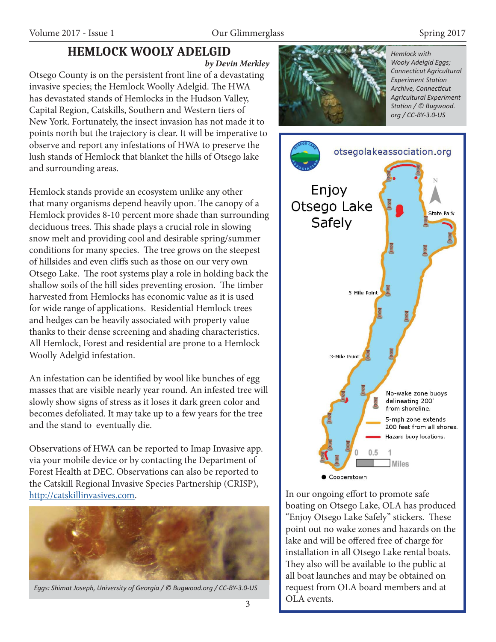## **HEMLOCK WOOLY ADELGID**

**by Devin Merkley**

Otsego County is on the persistent front line of a devastating invasive species; the Hemlock Woolly Adelgid. The HWA has devastated stands of Hemlocks in the Hudson Valley, Capital Region, Catskills, Southern and Western tiers of New York. Fortunately, the insect invasion has not made it to points north but the trajectory is clear. It will be imperative to observe and report any infestations of HWA to preserve the lush stands of Hemlock that blanket the hills of Otsego lake and surrounding areas.

Hemlock stands provide an ecosystem unlike any other that many organisms depend heavily upon. The canopy of a Hemlock provides 8-10 percent more shade than surrounding deciduous trees. This shade plays a crucial role in slowing snow melt and providing cool and desirable spring/summer conditions for many species. The tree grows on the steepest of hillsides and even cliffs such as those on our very own Otsego Lake. The root systems play a role in holding back the shallow soils of the hill sides preventing erosion. The timber harvested from Hemlocks has economic value as it is used for wide range of applications. Residential Hemlock trees and hedges can be heavily associated with property value thanks to their dense screening and shading characteristics. All Hemlock, Forest and residential are prone to a Hemlock Woolly Adelgid infestation.

An infestation can be identified by wool like bunches of egg masses that are visible nearly year round. An infested tree will slowly show signs of stress as it loses it dark green color and becomes defoliated. It may take up to a few years for the tree and the stand to eventually die.

Observations of HWA can be reported to Imap Invasive app. via your mobile device or by contacting the Department of Forest Health at DEC. Observations can also be reported to the Catskill Regional Invasive Species Partnership (CRISP), http://catskillinvasives.com.



*Eggs: Shimat Joseph, University of Georgia / © Bugwood.org / CC-BY-3.0-US*



*Hemlock with Wooly Adelgid Eggs; ConnecƟ cut Agricultural Experiment Station Archive, ConnecƟ cut Agricultural Experiment StaƟ on / © Bugwood. org / CC-BY-3.0-US*



In our ongoing effort to promote safe boating on Otsego Lake, OLA has produced "Enjoy Otsego Lake Safely" stickers. These point out no wake zones and hazards on the lake and will be offered free of charge for installation in all Otsego Lake rental boats. They also will be available to the public at all boat launches and may be obtained on request from OLA board members and at OLA events.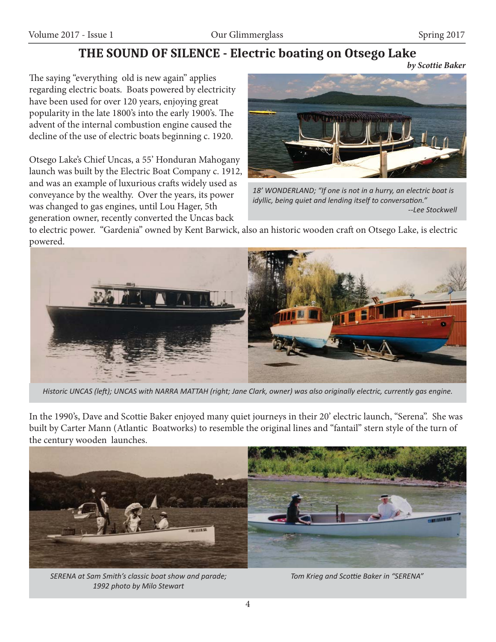## **THE SOUND OF SILENCE - Electric boating on Otsego Lake**

**by Scottie Baker**

The saying "everything old is new again" applies regarding electric boats. Boats powered by electricity have been used for over 120 years, enjoying great popularity in the late 1800's into the early 1900's. The advent of the internal combustion engine caused the decline of the use of electric boats beginning c. 1920.

Otsego Lake's Chief Uncas, a 55' Honduran Mahogany launch was built by the Electric Boat Company c. 1912, and was an example of luxurious crafts widely used as conveyance by the wealthy. Over the years, its power was changed to gas engines, until Lou Hager, 5th generation owner, recently converted the Uncas back



*18' WONDERLAND; "If one is not in a hurry, an electric boat is idyllic, being quiet and lending itself to conversation." --Lee Stockwell*

to electric power. "Gardenia" owned by Kent Barwick, also an historic wooden craft on Otsego Lake, is electric powered.



*Historic UNCAS (leŌ ); UNCAS with NARRA MATTAH (right; Jane Clark, owner) was also originally electric, currently gas engine.*

In the 1990's, Dave and Scottie Baker enjoyed many quiet journeys in their 20' electric launch, "Serena". She was built by Carter Mann (Atlantic Boatworks) to resemble the original lines and "fantail" stern style of the turn of the century wooden launches.



*SERENA at Sam Smith's classic boat show and parade; 1992 photo by Milo Stewart*

**Tom Krieg and Scottie Baker in "SERENA"**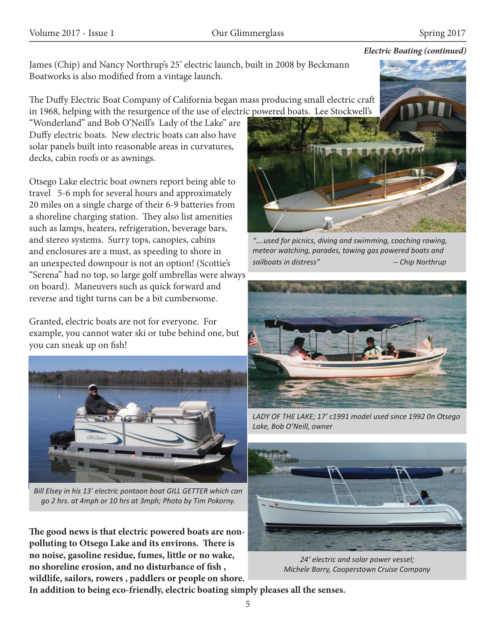#### **Electric Boating (continued)**

James (Chip) and Nancy Northrup's 25' electric launch, built in 2008 by Beckmann Boatworks is also modified from a vintage launch.

The Duffy Electric Boat Company of California began mass producing small electric craft in 1968, helping with the resurgence of the use of electric powered boats. Lee Stockwell's

"Wonderland" and Bob O'Neill's Lady of the Lake" are Duffy electric boats. New electric boats can also have solar panels built into reasonable areas in curvatures, decks, cabin roofs or as awnings.

Otsego Lake electric boat owners report being able to travel 5-6 mph for several hours and approximately 20 miles on a single charge of their 6-9 batteries from a shoreline charging station. They also list amenities such as lamps, heaters, refrigeration, beverage bars, and stereo systems. Surry tops, canopies, cabins and enclosures are a must, as speeding to shore in an unexpected downpour is not an option! (Scottie's "Serena" had no top, so large golf umbrellas were always on board). Maneuvers such as quick forward and reverse and tight turns can be a bit cumbersome.

Granted, electric boats are not for everyone. For example, you cannot water ski or tube behind one, but you can sneak up on fish!



*Bill Elsey in his 13' electric pontoon boat GILL GETTER which can go 2 hrs. at 4mph or 10 hrs at 3mph; Photo by Tim Pokorny.*

The good news is that electric powered boats are nonpolluting to Otsego Lake and its environs. There is **no noise, gasoline residue, fumes, little or no wake,**  no shoreline erosion, and no disturbance of fish, **wildlife, sailors, rowers , paddlers or people on shore.** 



*"….used for picnics, diving and swimming, coaching rowing, meteor watching, parades, towing gas powered boats and sailboats in distress" -- Chip Northrup*



*LADY OF THE LAKE; 17' c1991 model used since 1992 0n Otsego Lake, Bob O'Neill, owner*



*24' electric and solar power vessel; Michele Barry, Cooperstown Cruise Company*

**In addition to being eco-friendly, electric boating simply pleases all the senses.**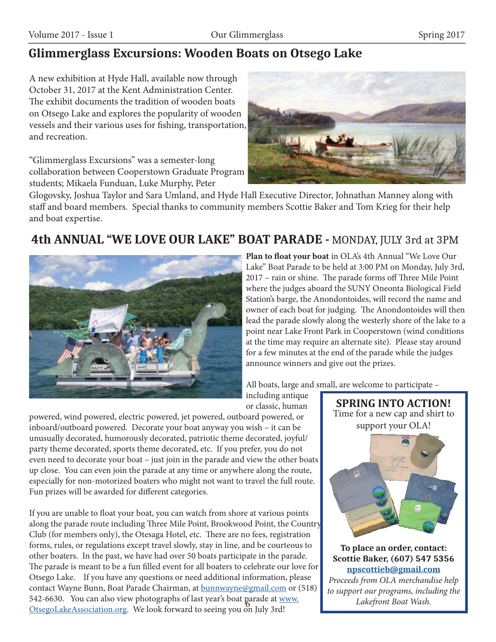# **Glimmerglass Excursions: Wooden Boats on Otsego Lake**

A new exhibition at Hyde Hall, available now through October 31, 2017 at the Kent Administration Center. The exhibit documents the tradition of wooden boats on Otsego Lake and explores the popularity of wooden vessels and their various uses for fishing, transportation, and recreation.

"Glimmerglass Excursions" was a semester-long collaboration between Cooperstown Graduate Program students; Mikaela Funduan, Luke Murphy, Peter



Glogovsky, Joshua Taylor and Sara Umland, and Hyde Hall Executive Director, Johnathan Manney along with staff and board members. Special thanks to community members Scottie Baker and Tom Krieg for their help and boat expertise.

# **4th ANNUAL "WE LOVE OUR LAKE" BOAT PARADE -** MONDAY, JULY 3rd at 3PM



Plan to float your boat in OLA's 4th Annual "We Love Our Lake" Boat Parade to be held at 3:00 PM on Monday, July 3rd, 2017 – rain or shine. The parade forms off Three Mile Point where the judges aboard the SUNY Oneonta Biological Field Station's barge, the Anondontoides, will record the name and owner of each boat for judging. The Anondontoides will then lead the parade slowly along the westerly shore of the lake to a point near Lake Front Park in Cooperstown (wind conditions at the time may require an alternate site). Please stay around for a few minutes at the end of the parade while the judges announce winners and give out the prizes.

All boats, large and small, are welcome to participate –

including antique or classic, human

powered, wind powered, electric powered, jet powered, outboard powered, or inboard/outboard powered. Decorate your boat anyway you wish – it can be unusually decorated, humorously decorated, patriotic theme decorated, joyful/ party theme decorated, sports theme decorated, etc. If you prefer, you do not even need to decorate your boat – just join in the parade and view the other boats up close. You can even join the parade at any time or anywhere along the route, especially for non-motorized boaters who might not want to travel the full route. Fun prizes will be awarded for different categories.

S42-0050. Tou can also view photographs of last year's boat garacte at  $\frac{w}{w}$ <br>OtsegoLakeAssociation.org. We look forward to seeing you on July 3rd! If you are unable to float your boat, you can watch from shore at various points along the parade route including Three Mile Point, Brookwood Point, the Country Club (for members only), the Otesaga Hotel, etc. There are no fees, registration forms, rules, or regulations except travel slowly, stay in line, and be courteous to other boaters. In the past, we have had over 50 boats participate in the parade. The parade is meant to be a fun filled event for all boaters to celebrate our love for Otsego Lake. If you have any questions or need additional information, please contact Wayne Bunn, Boat Parade Chairman, at bunnwayne@gmail.com or (518) 542-6630. You can also view photographs of last year's boat parade at www.



**To place an order, contact: Scottie Baker, (607) 547 5356 npscottieb@gmail.com** *Proceeds from OLA merchandise help to support our programs, including the Lakefront Boat Wash.*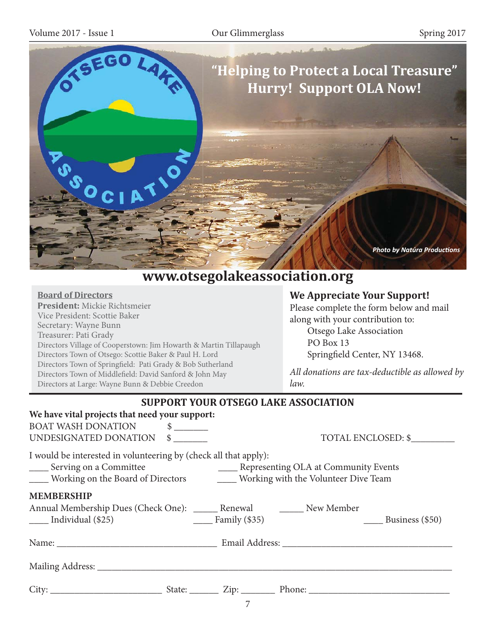

# **www.otsegolakeassociation.org**

#### **Board of Directors**

**President:** Mickie Richtsmeier Vice President: Scottie Baker Secretary: Wayne Bunn Treasurer: Pati Grady Directors Village of Cooperstown: Jim Howarth & Martin Tillapaugh Directors Town of Otsego: Scottie Baker & Paul H. Lord Directors Town of Springfield: Pati Grady & Bob Sutherland Directors Town of Middlefield: David Sanford & John May Directors at Large: Wayne Bunn & Debbie Creedon

#### **We Appreciate Your Support!**

Please complete the form below and mail along with your contribution to: Otsego Lake Association PO Box 13 Springfield Center, NY 13468.

*All donations are tax-deductible as allowed by law.* 

| <b>SUPPORT YOUR OTSEGO LAKE ASSOCIATION</b>                                                                                                                                               |                                           |
|-------------------------------------------------------------------------------------------------------------------------------------------------------------------------------------------|-------------------------------------------|
| We have vital projects that need your support:                                                                                                                                            |                                           |
| <b>BOAT WASH DONATION</b><br>$\frac{1}{2}$                                                                                                                                                |                                           |
| UNDESIGNATED DONATION \$                                                                                                                                                                  | TOTAL ENCLOSED: \$                        |
| I would be interested in volunteering by (check all that apply):<br>_____ Serving on a Committee<br>_____ Working on the Board of Directors ________ Working with the Volunteer Dive Team | ____ Representing OLA at Community Events |
| <b>MEMBERSHIP</b>                                                                                                                                                                         |                                           |
| Annual Membership Dues (Check One): _______ Renewal ________ New Member<br>$\frac{\ }{\ }$ Family (\$35)<br>$\frac{1}{2}$ Individual (\$25)                                               | Business (\$50)                           |
|                                                                                                                                                                                           |                                           |
|                                                                                                                                                                                           |                                           |
|                                                                                                                                                                                           |                                           |